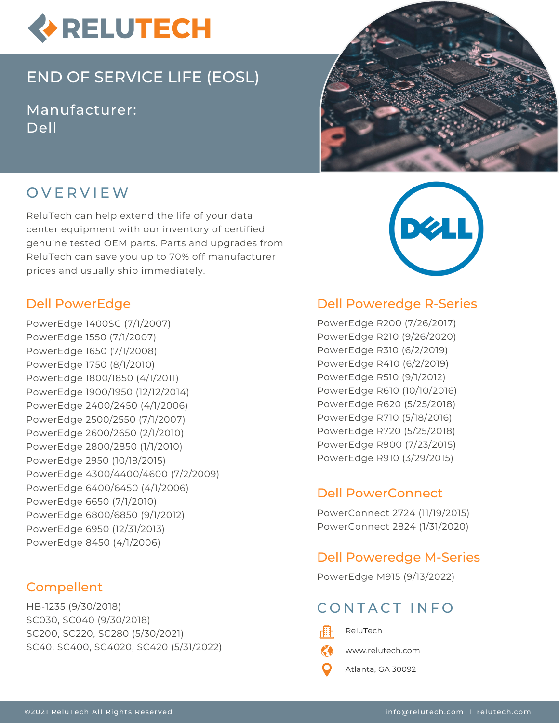

# END OF SERVICE LIFE (EOSL)

Manufacturer: Dell



# O V E R V I E W

ReluTech can help extend the life of your data center equipment with our inventory of certified genuine tested OEM parts. Parts and upgrades from ReluTech can save you up to 70% off manufacturer prices and usually ship immediately.

### Dell PowerEdge

PowerEdge 1400SC (7/1/2007) PowerEdge 1550 (7/1/2007) PowerEdge 1650 (7/1/2008) PowerEdge 1750 (8/1/2010) PowerEdge 1800/1850 (4/1/2011) PowerEdge 1900/1950 (12/12/2014) PowerEdge 2400/2450 (4/1/2006) PowerEdge 2500/2550 (7/1/2007) PowerEdge 2600/2650 (2/1/2010) PowerEdge 2800/2850 (1/1/2010) PowerEdge 2950 (10/19/2015) PowerEdge 4300/4400/4600 (7/2/2009) PowerEdge 6400/6450 (4/1/2006) PowerEdge 6650 (7/1/2010) PowerEdge 6800/6850 (9/1/2012) PowerEdge 6950 (12/31/2013) PowerEdge 8450 (4/1/2006)

### Compellent

HB-1235 (9/30/2018) SC030, SC040 (9/30/2018) SC200, SC220, SC280 (5/30/2021) SC40, SC400, SC4020, SC420 (5/31/2022)



#### Dell Poweredge R-Series

PowerEdge R200 (7/26/2017) PowerEdge R210 (9/26/2020) PowerEdge R310 (6/2/2019) PowerEdge R410 (6/2/2019) PowerEdge R510 (9/1/2012) PowerEdge R610 (10/10/2016) PowerEdge R620 (5/25/2018) PowerEdge R710 (5/18/2016) PowerEdge R720 (5/25/2018) PowerEdge R900 (7/23/2015) PowerEdge R910 (3/29/2015)

### Dell PowerConnect

PowerConnect 2724 (11/19/2015) PowerConnect 2824 (1/31/2020)

### Dell Poweredge M-Series

PowerEdge M915 (9/13/2022)

# CONTACT INFO

- 畾
	- ReluTech
	- www.relutech.com
	- Atlanta, GA 30092